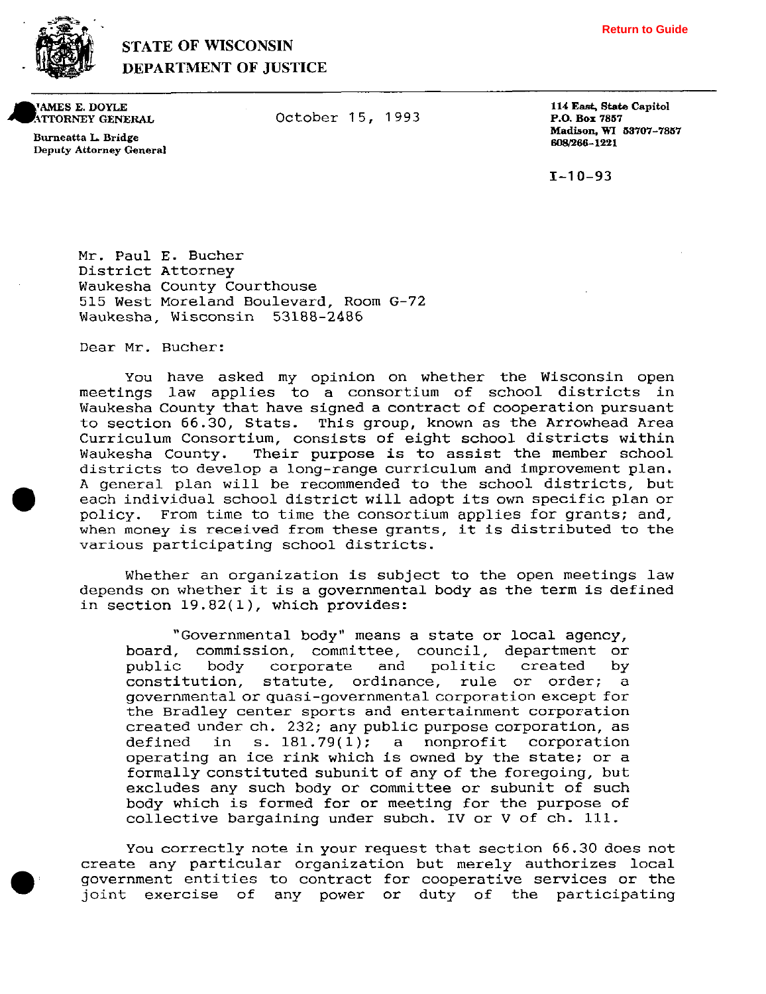

## **STATE OF WISCONSIN DEPARTMENT OF JUSTICE**

AMES E. DOYLE **ATTORNEY GENERAL** 

October 15, 1993

**114 Easf State Capitol P.O. Box 7867 Madison, WI 53707-7857**<br>**608/266-1221** 

 $I - 10 - 93$ 

**Burneatta L Bridge Deputy Attorney General** 

> Mr. Paul E. Bucher District Attorney Waukesha County Courthouse 515 West Moreland Boulevard, Room G-72 Waukesha, Wisconsin 53188-2486

Dear Mr. Bucher:

You have asked my opinion on whether the Wisconsin open meetings law applies to a consortium of school districts in Waukesha County that have signed a contract of cooperation pursuant to section 66.30, Stats. This group, known as the Arrowhead Area Curriculum Consortium, consists of eight school districts within<br>Waukesha County. Their purpose is to assist the member school Their purpose is to assist the member school districts to develop a long-range curriculum and improvement plan. **<sup>A</sup>**general plan will be recommended to the school districts, but each individual school district will adopt its own specific plan or policy. From time to time the consortium applies for grants; and, when money is received from these grants, it is distributed to the various participating school districts.

Whether an organization is subject to the open meetings law depends on whether it is a governmental body as the term is defined in section 19.82(1), which provides:

"Governmental body" means a state or local agency, board, commission, committee, council, department or corporate constitution, statute, ordinance, rule or order; a governmental or quasi-governmental corporation except for the Bradley center sports and entertainment corporation created under ch. 232; any public purpose corporation, as defined in  $s. 181.79(1)$ ; a nonprofit corporation operating an ice rink which is owned by the state; or a formally constituted subunit of any of the foregoing, but excludes any such body or committee or subunit of such body which is formed for or meeting for the purpose of collective bargaining under subch. **IV** or V of ch. 111.

You correctly note in your request that section 66.30 does not create any particular organization but merely authorizes local government entities to contract for cooperative services or the joint exercise of any power or duty of the participating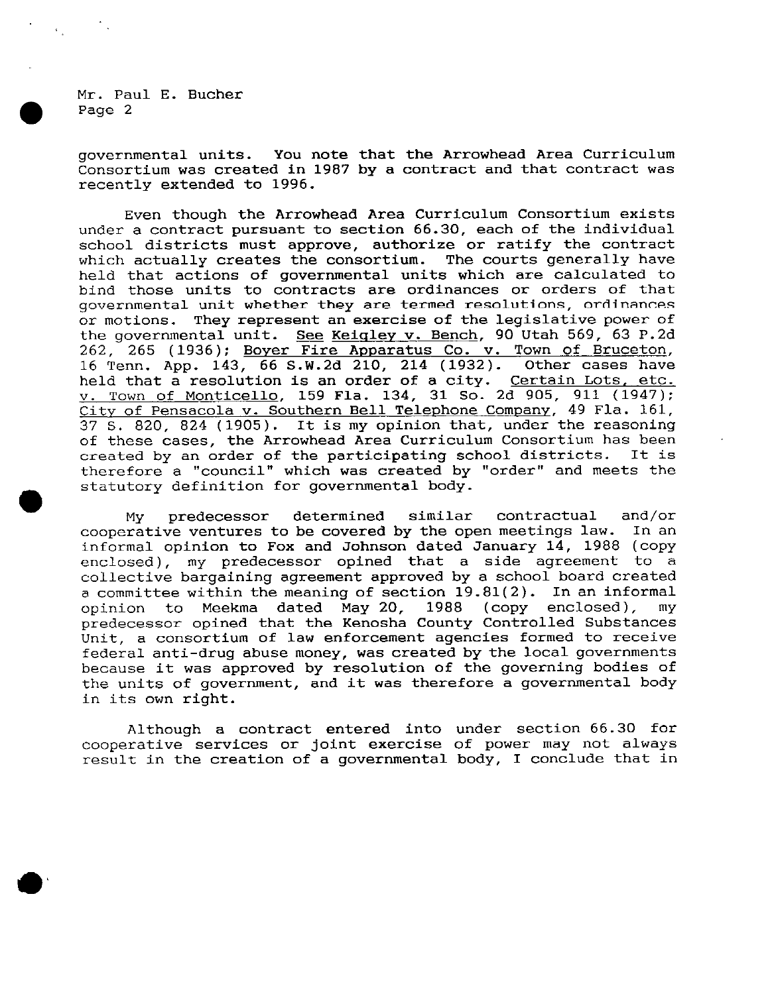Mr. Paul E. Bucher Page 2

governmental units. You note that the Arrowhead Area Curriculum Consortium was created in 1987 by a contract and that contract was recently extended to 1996.

Even though the Arrowhead Area Curriculum Consortium exists under a contract pursuant to section 66.30, each of the individual school districts must approve, authorize or ratify the contract<br>which actually creates the consortium. The courts generally have which actually creates the consortium. held that actions of governmental units which are calculated to bind those units to contracts are ordinances or orders of that governmental unit whether they are termed resolutions, ordinances or motions. They represent an exercise of the legislative power of the governmental unit. **See** Keiqley v. Bench, 90 Utah 569, 63 P.2d 262, 265 (1936): Boyer Fire Apparatus Co. v. Town of Bruceton, 16 Tenn. App. 143, 66 S.W.2d 210, 214 (1932). Other cases have held that a resolution is an order of a city. Certain Lots, etc. v. Town of Monticello, 159 Fla. 134, 31 So. 2d 905, 911 (1947); City of Pensacola v. Southern Bell Telephone Company, 49 Fla. 161, 37 S. 820, 824 (1905). It is my opinion that, under the reasoning of these cases, the Arrowhead Area Curriculum Consortium has been<br>created by an order of the participating school districts. It is created by an order of the participating school districts. therefore a "council" which was created by "order" and meets the statutory definition for governmental body.<br>My predecessor determined similar

predecessor determined similar contractual and/or<br>ve\_ventures\_to\_be\_covered\_by\_the\_open\_meetings\_law. In\_an cooperative ventures to be covered by the open meetings law. informal opinion to Fox and Johnson dated January 14, 1988 (copy enclosed), my predecessor opined that a side agreement to a collective bargaining agreement approved by a school board created a committee within the meaning of section 19.81(2). In an informal<br>opinion to Meekma dated May 20, 1988 (copy enclosed), my opinion to Meekma dated May 20, 1988 (copy enclosed), my predecessor opined that the Kenosha County Controlled Substances Unit, a consortium of law enforcement agencies formed to receive federal anti-drug abuse money, was created by the local governments because it was approved by resolution of the governing bodies of the units of government, and it was therefore a governmental body in its own right.

Although a contract entered into under section 66.30 for cooperative services or joint exercise of power may not always result in the creation of a governmental body, I conclude that in